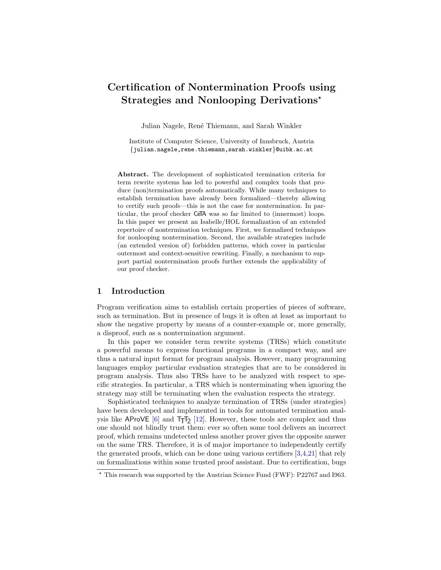# Certification of Nontermination Proofs using Strategies and Nonlooping Derivations<sup>\*</sup>

Julian Nagele, René Thiemann, and Sarah Winkler

Institute of Computer Science, University of Innsbruck, Austria {julian.nagele,rene.thiemann,sarah.winkler}@uibk.ac.at

Abstract. The development of sophisticated termination criteria for term rewrite systems has led to powerful and complex tools that produce (non)termination proofs automatically. While many techniques to establish termination have already been formalized—thereby allowing to certify such proofs—this is not the case for nontermination. In particular, the proof checker CeTA was so far limited to (innermost) loops. In this paper we present an Isabelle/HOL formalization of an extended repertoire of nontermination techniques. First, we formalized techniques for nonlooping nontermination. Second, the available strategies include (an extended version of) forbidden patterns, which cover in particular outermost and context-sensitive rewriting. Finally, a mechanism to support partial nontermination proofs further extends the applicability of our proof checker.

# 1 Introduction

Program verification aims to establish certain properties of pieces of software, such as termination. But in presence of bugs it is often at least as important to show the negative property by means of a counter-example or, more generally, a disproof, such as a nontermination argument.

In this paper we consider term rewrite systems (TRSs) which constitute a powerful means to express functional programs in a compact way, and are thus a natural input format for program analysis. However, many programming languages employ particular evaluation strategies that are to be considered in program analysis. Thus also TRSs have to be analyzed with respect to specific strategies. In particular, a TRS which is nonterminating when ignoring the strategy may still be terminating when the evaluation respects the strategy.

Sophisticated techniques to analyze termination of TRSs (under strategies) have been developed and implemented in tools for automated termination analysis like  $AProVE$  [\[6\]](#page-15-0) and  $T_TT_2$  [\[12\]](#page-15-1). However, these tools are complex and thus one should not blindly trust them: ever so often some tool delivers an incorrect proof, which remains undetected unless another prover gives the opposite answer on the same TRS. Therefore, it is of major importance to independently certify the generated proofs, which can be done using various certifiers  $[3,4,21]$  $[3,4,21]$  $[3,4,21]$  that rely on formalizations within some trusted proof assistant. Due to certification, bugs

 $*$  This research was supported by the Austrian Science Fund (FWF): P22767 and I963.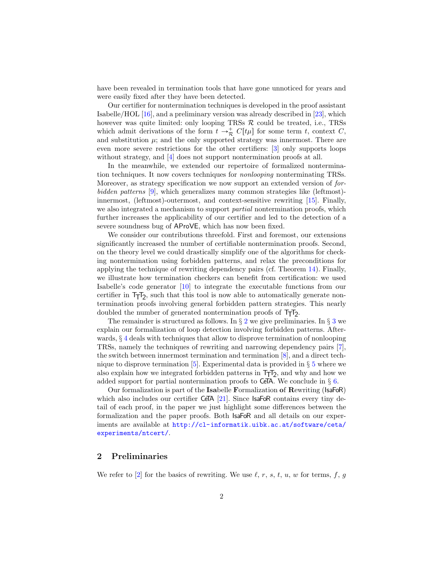have been revealed in termination tools that have gone unnoticed for years and were easily fixed after they have been detected.

Our certifier for nontermination techniques is developed in the proof assistant Isabelle/HOL [\[16\]](#page-15-5), and a preliminary version was already described in [\[23\]](#page-15-6), which however was quite limited: only looping TRSs  $R$  could be treated, i.e., TRSs which admit derivations of the form  $t \to_{\mathcal{R}}^+ C[t\mu]$  for some term t, context C, and substitution  $\mu$ ; and the only supported strategy was innermost. There are even more severe restrictions for the other certifiers: [\[3\]](#page-15-2) only supports loops without strategy, and [\[4\]](#page-15-3) does not support nontermination proofs at all.

In the meanwhile, we extended our repertoire of formalized nontermination techniques. It now covers techniques for nonlooping nonterminating TRSs. Moreover, as strategy specification we now support an extended version of forbidden patterns [\[9\]](#page-15-7), which generalizes many common strategies like (leftmost) innermost, (leftmost)-outermost, and context-sensitive rewriting [\[15\]](#page-15-8). Finally, we also integrated a mechanism to support *partial* nontermination proofs, which further increases the applicability of our certifier and led to the detection of a severe soundness bug of AProVE, which has now been fixed.

We consider our contributions threefold. First and foremost, our extensions significantly increased the number of certifiable nontermination proofs. Second, on the theory level we could drastically simplify one of the algorithms for checking nontermination using forbidden patterns, and relax the preconditions for applying the technique of rewriting dependency pairs (cf. Theorem [14\)](#page-10-0). Finally, we illustrate how termination checkers can benefit from certification: we used Isabelle's code generator [\[10\]](#page-15-9) to integrate the executable functions from our certifier in  $T_TT_2$ , such that this tool is now able to automatically generate nontermination proofs involving general forbidden pattern strategies. This nearly doubled the number of generated nontermination proofs of  $T_{\overline{1}}T_{2}$ .

The remainder is structured as follows. In  $\S 2$  $\S 2$  we give preliminaries. In  $\S 3$  $\S 3$  we explain our formalization of loop detection involving forbidden patterns. Afterwards,  $\S 4$  $\S 4$  deals with techniques that allow to disprove termination of nonlooping TRSs, namely the techniques of rewriting and narrowing dependency pairs [\[7\]](#page-15-10), the switch between innermost termination and termination [\[8\]](#page-15-11), and a direct technique to disprove termination  $[5]$ . Experimental data is provided in § [5](#page-12-0) where we also explain how we integrated forbidden patterns in  $T_{\overline{1}}T_{2}$ , and why and how we added support for partial nontermination proofs to CeTA. We conclude in  $\S 6$ .

Our formalization is part of the Isabelle Formalization of Rewriting (IsaFoR) which also includes our certifier CeTA [\[21\]](#page-15-4). Since IsaFoR contains every tiny detail of each proof, in the paper we just highlight some differences between the formalization and the paper proofs. Both IsaFoR and all details on our experiments are available at [http://cl-informatik.uibk.ac.at/software/ceta/](http://cl-informatik.uibk.ac.at/software/ceta/experiments/ntcert/) [experiments/ntcert/](http://cl-informatik.uibk.ac.at/software/ceta/experiments/ntcert/).

# <span id="page-1-0"></span>2 Preliminaries

We refer to [\[2\]](#page-15-13) for the basics of rewriting. We use  $\ell, r, s, t, u, w$  for terms, f, g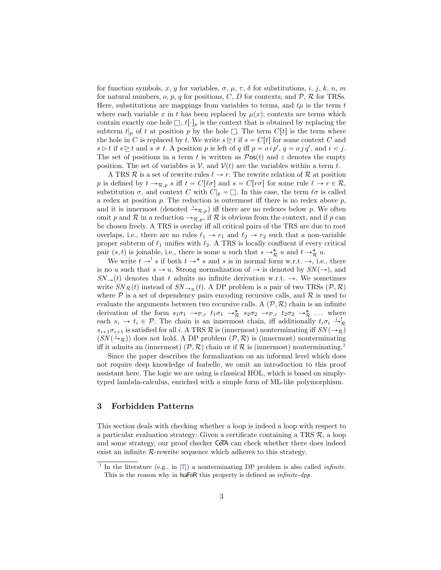for function symbols, x, y for variables,  $\sigma$ ,  $\mu$ ,  $\tau$ ,  $\delta$  for substitutions, i, j, k, n, m for natural numbers, o, p, q for positions, C, D for contexts, and  $P$ , R for TRSs. Here, substitutions are mappings from variables to terms, and  $t\mu$  is the term t where each variable x in t has been replaced by  $\mu(x)$ ; contexts are terms which contain exactly one hole  $\Box$ ,  $t[\cdot]_p$  is the context that is obtained by replacing the subterm  $t|_p$  of t at position p by the hole  $\Box$ . The term  $C[t]$  is the term where the hole in C is replaced by t. We write  $s \geq t$  if  $s = C[t]$  for some context C and  $s \triangleright t$  if  $s \triangleright t$  and  $s \neq t$ . A position p is left of q iff  $p = o^i p'$ ,  $q = o^j q'$ , and  $i < j$ . The set of positions in a term t is written as  $\mathcal{P}$ os(t) and  $\varepsilon$  denotes the empty position. The set of variables is  $V$ , and  $V(t)$  are the variables within a term t.

A TRS R is a set of rewrite rules  $\ell \to r$ . The rewrite relation of R at position p is defined by  $t \to_{\mathcal{R},p} s$  iff  $t = C[\ell \sigma]$  and  $s = C[r\sigma]$  for some rule  $\ell \to r \in \mathcal{R}$ , substitution  $\sigma$ , and context C with  $C|_p = \Box$ . In this case, the term  $\ell \sigma$  is called a redex at position  $p$ . The reduction is outermost iff there is no redex above  $p$ , and it is innermost (denoted  $\stackrel{i}{\rightarrow}_{\mathcal{R},p}$ ) iff there are no redexes below p. We often omit p and R in a reduction  $\rightarrow_{\mathcal{R},p}$ , if R is obvious from the context, and if p can be chosen freely. A TRS is overlay iff all critical pairs of the TRS are due to root overlaps, i.e., there are no rules  $\ell_1 \rightarrow r_1$  and  $\ell_2 \rightarrow r_2$  such that a non-variable proper subterm of  $\ell_1$  unifies with  $\ell_2$ . A TRS is locally confluent if every critical pair  $(s, t)$  is joinable, i.e., there is some u such that  $s \to_{\mathcal{R}}^* u$  and  $t \to_{\mathcal{R}}^* u$ .

We write  $t \rightarrow s$  if both  $t \rightarrow s$  and s is in normal form w.r.t.  $\rightarrow$ , i.e., there is no u such that  $s \to u$ . Strong normalization of  $\to$  is denoted by  $SN(\to)$ , and  $SN_{\rightarrow}(t)$  denotes that t admits no infinite derivation w.r.t.  $\rightarrow$ . We sometimes write  $SN_{\mathcal{R}}(t)$  instead of  $SN_{\rightarrow \mathcal{R}}(t)$ . A DP problem is a pair of two TRSs  $(\mathcal{P}, \mathcal{R})$ where  $P$  is a set of dependency pairs encoding recursive calls, and  $R$  is used to evaluate the arguments between two recursive calls. A  $(\mathcal{P}, \mathcal{R})$  chain is an infinite derivation of the form  $s_1\sigma_1 \rightarrow_{\mathcal{P},\varepsilon} t_1\sigma_1 \rightarrow_{\mathcal{R}}^* s_2\sigma_2 \rightarrow_{\mathcal{P},\varepsilon} t_2\sigma_2 \rightarrow_{\mathcal{R}}^* \dots$  where each  $s_i \to t_i \in \mathcal{P}$ . The chain is an innermost chain, iff additionally  $t_i \sigma_i \xrightarrow{i} \mathcal{R}$  $s_{i+1}\sigma_{i+1}$  is satisfied for all i. A TRS R is (innermost) nonterminating iff  $SN(\rightarrow \mathcal{R})$  $(SN(\dot{\rightarrow}_{\mathcal{R}}))$  does not hold. A DP problem  $(\mathcal{P}, \mathcal{R})$  is (innermost) nonterminating iff it admits an (innermost)  $(\mathcal{P}, \mathcal{R})$  chain or if R is (innermost) nonterminating.<sup>[1](#page-2-1)</sup>

Since the paper describes the formalization on an informal level which does not require deep knowledge of Isabelle, we omit an introduction to this proof assistant here. The logic we are using is classical HOL, which is based on simplytyped lambda-calculus, enriched with a simple form of ML-like polymorphism.

# <span id="page-2-0"></span>3 Forbidden Patterns

This section deals with checking whether a loop is indeed a loop with respect to a particular evaluation strategy: Given a certificate containing a TRS  $\mathcal{R}$ , a loop and some strategy, our proof checker CeTA can check whether there does indeed exist an infinite  $R$ -rewrite sequence which adheres to this strategy.

<span id="page-2-1"></span><sup>&</sup>lt;sup>1</sup> In the literature (e.g., in [\[7\]](#page-15-10)) a nonterminating DP problem is also called *infinite*. This is the reason why in IsaFoR this property is defined as *infinite-dpp*.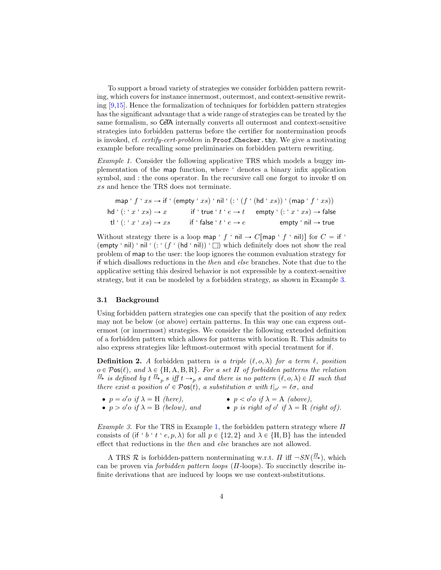To support a broad variety of strategies we consider forbidden pattern rewriting, which covers for instance innermost, outermost, and context-sensitive rewriting [\[9](#page-15-7)[,15\]](#page-15-8). Hence the formalization of techniques for forbidden pattern strategies has the significant advantage that a wide range of strategies can be treated by the same formalism, so CeTA internally converts all outermost and context-sensitive strategies into forbidden patterns before the certifier for nontermination proofs is invoked, cf. certify-cert-problem in Proof Checker.thy. We give a motivating example before recalling some preliminaries on forbidden pattern rewriting.

Example 1. Consider the following applicative TRS which models a buggy implementation of the map function, where ' denotes a binary infix application symbol, and : the cons operator. In the recursive call one forgot to invoke tl on xs and hence the TRS does not terminate.

<span id="page-3-1"></span>
$$
\operatorname{map} 'f'x s \to \operatorname{if} '(\operatorname{empty} 'x s)' \operatorname{nil} '(: (f' (hd' x s))' (\operatorname{map} 'f' x s))
$$
  
hd' (:: 'x ' x s) \to x    if ' true ' t ' e \to t    empty ' (: 'x ' x s) \to false  
tl' (: 'x ' x s) \to x s    if ' false ' t' e \to e    empty ' nil \to true

Without strategy there is a loop map ' f ' nil  $\rightarrow C$ [map ' f ' nil)] for  $C =$  if ' (empty ' nil) ' nil ' (: ' ( $f$  ' (hd ' nil)) '  $\Box$ ) which definitely does not show the real problem of map to the user: the loop ignores the common evaluation strategy for if which disallows reductions in the then and else branches. Note that due to the applicative setting this desired behavior is not expressible by a context-sensitive strategy, but it can be modeled by a forbidden strategy, as shown in Example [3.](#page-3-0)

### 3.1 Background

Using forbidden pattern strategies one can specify that the position of any redex may not be below (or above) certain patterns. In this way one can express outermost (or innermost) strategies. We consider the following extended definition of a forbidden pattern which allows for patterns with location R. This admits to also express strategies like leftmost-outermost with special treatment for if.

**Definition 2.** A forbidden pattern is a triple  $(\ell, o, \lambda)$  for a term  $\ell$ , position  $o \in \mathcal{P}$ os $(\ell)$ , and  $\lambda \in \{H, A, B, R\}$ . For a set  $\Pi$  of forbidden patterns the relation  $\frac{\pi}{\sigma}$  is defined by  $t \stackrel{\Pi}{\rightarrow}_p s$  iff  $t \rightarrow_p s$  and there is no pattern  $(\ell, o, \lambda) \in \Pi$  such that there exist a position  $o' \in \mathcal{P}$ os $(t)$ , a substitution  $\sigma$  with  $t|_{o'} = \ell \sigma$ , and

•  $p = o' o \text{ if } \lambda = H \text{ (here)},$ •  $p > o'$ o if  $\lambda = B$  (below), and •  $p < o' o \text{ if } \lambda = A \text{ (above)},$ • p is right of  $o'$  if  $\lambda = R$  (right of).

<span id="page-3-0"></span>Example 3. For the TRS in Example [1,](#page-3-1) the forbidden pattern strategy where  $\Pi$ consists of (if ' b ' t ' e, p,  $\lambda$ ) for all  $p \in \{12, 2\}$  and  $\lambda \in \{H, B\}$  has the intended effect that reductions in the then and else branches are not allowed.

A TRS R is forbidden-pattern nonterminating w.r.t.  $\Pi$  iff  $\neg SN(\frac{\pi}{2})$ , which can be proven via *forbidden pattern loops*  $(II\text{-loops})$ . To succinctly describe infinite derivations that are induced by loops we use context-substitutions.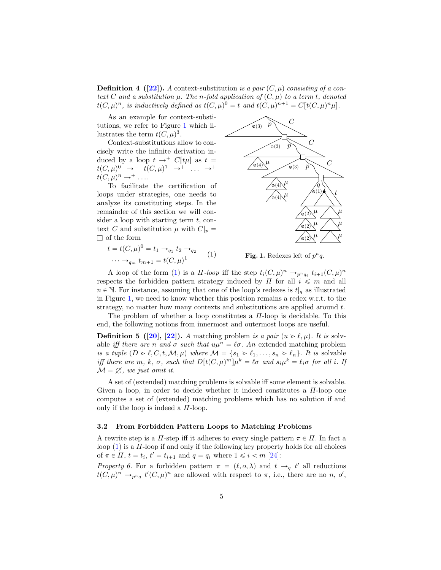**Definition 4** ([\[22\]](#page-15-14)). A context-substitution is a pair  $(C, \mu)$  consisting of a context C and a substitution  $\mu$ . The n-fold application of  $(C, \mu)$  to a term t, denoted  $t(C, \mu)^n$ , is inductively defined as  $t(C, \mu)^0 = t$  and  $t(C, \mu)^{n+1} = C[t(C, \mu)^n \mu].$ 

As an example for context-substitutions, we refer to Figure [1](#page-4-0) which illustrates the term  $t(C, \mu)^3$ .

Context-substitutions allow to concisely write the infinite derivation induced by a loop  $t \to^+ C[t\mu]$  as  $t =$  $t(C, \mu)^0 \rightarrow^+ t(C, \mu)^1 \rightarrow^+ \dots \rightarrow^+$  $t(C, \mu)^n \to^+ \ldots$ 

To facilitate the certification of loops under strategies, one needs to analyze its constituting steps. In the remainder of this section we will con-<br>ciden a loop with starting term to see sider a loop text  $C$  and  $\Box$  of the form

 $\cdots \rightarrow_{q_m} t_{m+1} = t(C, \mu)^1$ 

 $t = t(C,$ 

<span id="page-4-1"></span>with starting term *t*, con-  
substitution 
$$
\mu
$$
 with  $C|_p =$   
 $\mu$ )<sup>0</sup> =  $t_1 \rightarrow_{q_1} t_2 \rightarrow_{q_2}$  (1)



<span id="page-4-0"></span>Fig. 1. Redexes left of  $p^n q$ .

A loop of the form [\(1\)](#page-4-1) is a  $\Pi$ -loop iff the step  $t_i(C, \mu)^n \to_{p^n q_i} t_{i+1}(C, \mu)^n$ respects the forbidden pattern strategy induced by  $\Pi$  for all  $i \leq m$  and all  $n \in \mathbb{N}$ . For instance, assuming that one of the loop's redexes is  $t|_q$  as illustrated in Figure [1,](#page-4-0) we need to know whether this position remains a redex w.r.t. to the strategy, no matter how many contexts and substitutions are applied around t.

The problem of whether a loop constitutes a  $\Pi$ -loop is decidable. To this end, the following notions from innermost and outermost loops are useful.

**Definition 5** ([\[20\]](#page-15-15), [\[22\]](#page-15-14)). A matching problem is a pair  $(u > l, \mu)$ . It is solvable iff there are n and  $\sigma$  such that  $u\mu^n = \ell \sigma$ . An extended matching problem is a tuple  $(D > \ell, C, t, M, \mu)$  where  $M = \{s_1 > \ell_1, \ldots, s_n > \ell_n\}.$  It is solvable iff there are m, k,  $\sigma$ , such that  $D[t(C, \mu)^m] \mu^k = \ell \sigma$  and  $s_i \mu^k = \ell_i \sigma$  for all i. If  $\mathcal{M} = \emptyset$ , we just omit it.

A set of (extended) matching problems is solvable iff some element is solvable. Given a loop, in order to decide whether it indeed constitutes a  $\Pi$ -loop one computes a set of (extended) matching problems which has no solution if and only if the loop is indeed a  $\Pi$ -loop.

### 3.2 From Forbidden Pattern Loops to Matching Problems

A rewrite step is a  $\Pi$ -step iff it adheres to every single pattern  $\pi \in \Pi$ . In fact a loop  $(1)$  is a  $\Pi$ -loop if and only if the following key property holds for all choices of  $\pi \in \Pi$ ,  $t = t_i$ ,  $t' = t_{i+1}$  and  $q = q_i$  where  $1 \leq i < m$  [\[24\]](#page-15-16):

<span id="page-4-2"></span>Property 6. For a forbidden pattern  $\pi = (\ell, o, \lambda)$  and  $t \to_q t'$  all reductions  $t(C, \mu)^n \longrightarrow_{p^n q} t'(C, \mu)^n$  are allowed with respect to  $\pi$ , i.e., there are no n, o',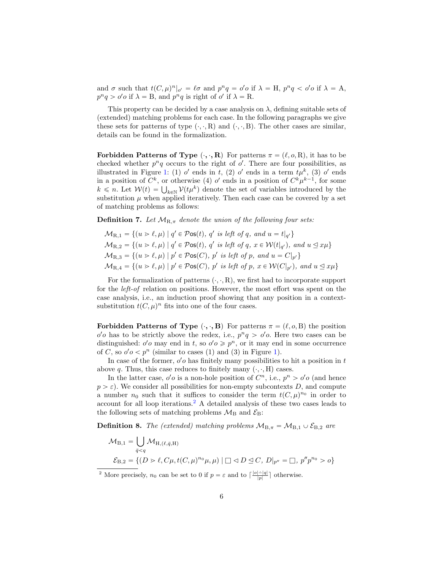and  $\sigma$  such that  $t(C, \mu)^n|_{o'} = \ell \sigma$  and  $p^n q = o' o$  if  $\lambda = H$ ,  $p^n q < o' o$  if  $\lambda = A$ ,  $p^n q > o' o$  if  $\lambda = B$ , and  $p^n q$  is right of  $o'$  if  $\lambda = R$ .

This property can be decided by a case analysis on  $\lambda$ , defining suitable sets of (extended) matching problems for each case. In the following paragraphs we give these sets for patterns of type  $(\cdot, \cdot, R)$  and  $(\cdot, \cdot, B)$ . The other cases are similar, details can be found in the formalization.

Forbidden Patterns of Type  $(\cdot, \cdot, R)$  For patterns  $\pi = (\ell, o, R)$ , it has to be checked whether  $p^n q$  occurs to the right of  $o'$ . There are four possibilities, as illustrated in Figure [1:](#page-4-0) (1) o' ends in t, (2) o' ends in a term  $t\mu^k$ , (3) o' ends in a position of  $C^k$ , or otherwise (4) o' ends in a position of  $C^k \mu^{k-1}$ , for some  $k \leq n$ . Let  $W(t) = \bigcup_{k \in \mathbb{N}} V(t\mu^k)$  denote the set of variables introduced by the substitution  $\mu$  when applied iteratively. Then each case can be covered by a set of matching problems as follows:

**Definition 7.** Let  $M_{R,\pi}$  denote the union of the following four sets:

$$
\mathcal{M}_{R,1} = \{(u > \ell, \mu) \mid q' \in \mathcal{P} \text{os}(t), q' \text{ is left of } q, \text{ and } u = t|_{q'}\}
$$
  

$$
\mathcal{M}_{R,2} = \{(u > \ell, \mu) \mid q' \in \mathcal{P} \text{os}(t), q' \text{ is left of } q, x \in \mathcal{W}(t|_{q'}), \text{ and } u \leq x\mu\}
$$
  

$$
\mathcal{M}_{R,3} = \{(u > \ell, \mu) \mid p' \in \mathcal{P} \text{os}(C), p' \text{ is left of } p, \text{ and } u = C|_{p'}\}
$$
  

$$
\mathcal{M}_{R,4} = \{(u > \ell, \mu) \mid p' \in \mathcal{P} \text{os}(C), p' \text{ is left of } p, x \in \mathcal{W}(C|_{p'}), \text{ and } u \leq x\mu\}
$$

For the formalization of patterns  $(\cdot, \cdot, R)$ , we first had to incorporate support for the left-of relation on positions. However, the most effort was spent on the case analysis, i.e., an induction proof showing that any position in a contextsubstitution  $t(C, \mu)^n$  fits into one of the four cases.

**Forbidden Patterns of Type**  $(\cdot, \cdot, \mathbf{B})$  For patterns  $\pi = (\ell, o, B)$  the position  $o'o$  has to be strictly above the redex, i.e.,  $p^n q > o'o$ . Here two cases can be distinguished:  $o'o$  may end in t, so  $o'o \geq p^n$ , or it may end in some occurrence of C, so  $o' o < p^n$  (similar to cases ([1\)](#page-4-0) and (3) in Figure 1).

In case of the former,  $o'o$  has finitely many possibilities to hit a position in  $t$ above q. Thus, this case reduces to finitely many  $(\cdot, \cdot, H)$  cases.

In the latter case,  $o'o$  is a non-hole position of  $C<sup>n</sup>$ , i.e.,  $p<sup>n</sup> > o'o$  (and hence  $p > \varepsilon$ ). We consider all possibilities for non-empty subcontexts D, and compute a number  $n_0$  such that it suffices to consider the term  $t(C, \mu)^{n_0}$  in order to account for all loop iterations.[2](#page-5-0) A detailed analysis of these two cases leads to the following sets of matching problems  $\mathcal{M}_{\rm B}$  and  $\mathcal{E}_{\rm B}$ :

<span id="page-5-1"></span>**Definition 8.** The (extended) matching problems  $M_{B,\pi} = M_{B,1} \cup \mathcal{E}_{B,2}$  are

$$
\mathcal{M}_{B,1} = \bigcup_{\bar{q} < q} \mathcal{M}_{H, (\ell, \bar{q}, H)}
$$
\n
$$
\mathcal{E}_{B,2} = \{ (D \gt \ell, C\mu, t(C, \mu)^{n_0}\mu, \mu) \mid \Box \triangleleft D \trianglelefteq C, D|_{p''} = \Box, p''p^{n_0} > o \}
$$

<span id="page-5-0"></span><sup>2</sup> More precisely,  $n_0$  can be set to 0 if  $p = \varepsilon$  and to  $\lceil \frac{|o| - |q|}{|p|} \rceil$  otherwise.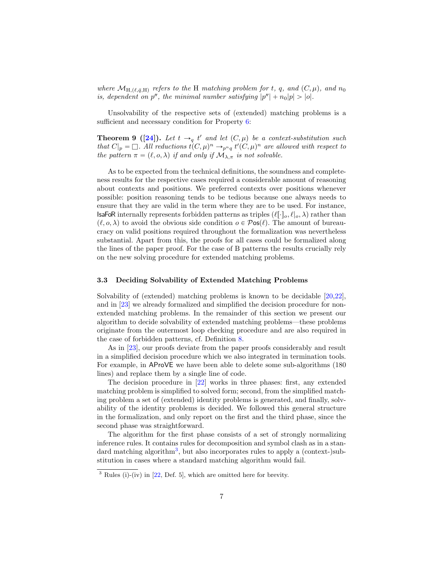where  $\mathcal{M}_{H, (\ell, \bar{q}, H)}$  refers to the H matching problem for t, q, and  $(C, \mu)$ , and  $n_0$ is, dependent on  $p''$ , the minimal number satisfying  $|p''| + n_0|p| > |o|$ .

Unsolvability of the respective sets of (extended) matching problems is a sufficient and necessary condition for Property [6:](#page-4-2)

**Theorem 9** ([\[24\]](#page-15-16)). Let  $t \rightarrow_q t'$  and let  $(C, \mu)$  be a context-substitution such that  $C|_p = \Box$ . All reductions  $t(C, \mu)^n \to_{p^n q} t'(C, \mu)^n$  are allowed with respect to the pattern  $\pi = (\ell, o, \lambda)$  if and only if  $\mathcal{M}_{\lambda,\pi}$  is not solvable.

As to be expected from the technical definitions, the soundness and completeness results for the respective cases required a considerable amount of reasoning about contexts and positions. We preferred contexts over positions whenever possible: position reasoning tends to be tedious because one always needs to ensure that they are valid in the term where they are to be used. For instance, **IsaFoR** internally represents forbidden patterns as triples  $(\ell[\cdot]_o, \ell|_o, \lambda)$  rather than  $(\ell, o, \lambda)$  to avoid the obvious side condition  $o \in \mathcal{P}$ os $(\ell)$ . The amount of bureaucracy on valid positions required throughout the formalization was nevertheless substantial. Apart from this, the proofs for all cases could be formalized along the lines of the paper proof. For the case of B patterns the results crucially rely on the new solving procedure for extended matching problems.

### 3.3 Deciding Solvability of Extended Matching Problems

Solvability of (extended) matching problems is known to be decidable [\[20,](#page-15-15)[22\]](#page-15-14), and in [\[23\]](#page-15-6) we already formalized and simplified the decision procedure for nonextended matching problems. In the remainder of this section we present our algorithm to decide solvability of extended matching problems—these problems originate from the outermost loop checking procedure and are also required in the case of forbidden patterns, cf. Definition [8.](#page-5-1)

As in [\[23\]](#page-15-6), our proofs deviate from the paper proofs considerably and result in a simplified decision procedure which we also integrated in termination tools. For example, in AProVE we have been able to delete some sub-algorithms (180 lines) and replace them by a single line of code.

The decision procedure in [\[22\]](#page-15-14) works in three phases: first, any extended matching problem is simplified to solved form; second, from the simplified matching problem a set of (extended) identity problems is generated, and finally, solvability of the identity problems is decided. We followed this general structure in the formalization, and only report on the first and the third phase, since the second phase was straightforward.

The algorithm for the first phase consists of a set of strongly normalizing inference rules. It contains rules for decomposition and symbol clash as in a stan-dard matching algorithm<sup>[3](#page-6-0)</sup>, but also incorporates rules to apply a (context-)substitution in cases where a standard matching algorithm would fail.

<span id="page-6-0"></span> $\frac{3}{3}$  Rules (i)-(iv) in [\[22,](#page-15-14) Def. 5], which are omitted here for brevity.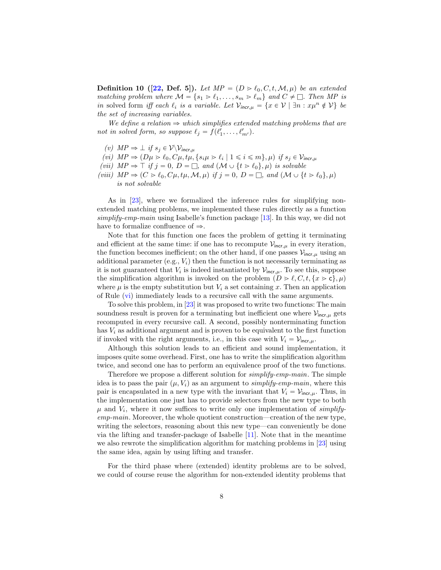**Definition 10 ([\[22,](#page-15-14) Def. 5]).** Let  $MP = (D > l_0, C, t, M, \mu)$  be an extended matching problem where  $M = \{s_1 > \ell_1, \ldots, s_m > \ell_m\}$  and  $C \neq \square$ . Then MP is in solved form iff each  $\ell_i$  is a variable. Let  $\mathcal{V}_{\mathsf{incr}, \mu} = \{x \in \mathcal{V} \mid \exists n : x \mu^n \notin \mathcal{V}\}\$  be the set of increasing variables.

We define a relation  $\Rightarrow$  which simplifies extended matching problems that are not in solved form, so suppose  $\ell_j = f(\ell'_1, \ldots, \ell'_{m'})$ .

- (v)  $MP \Rightarrow \perp if s_j \in V \setminus V_{incr, \mu}$
- <span id="page-7-0"></span>(vi)  $MP \Rightarrow (D\mu > \ell_0, C\mu, t\mu, \{s_i\mu > \ell_i \mid 1 \leq i \leq m\}, \mu)$  if  $s_j \in \mathcal{V}_{\text{incr},\mu}$
- (vii)  $MP \Rightarrow \top if j = 0, D = \square$ , and  $(\mathcal{M} \cup \{t \geq \ell_0\}, \mu)$  is solvable
- (viii)  $MP \Rightarrow (C > l_0, C\mu, t\mu, M, \mu)$  if  $j = 0, D = \square$ , and  $(M \cup \{t > l_0\}, \mu)$ is not solvable

As in [\[23\]](#page-15-6), where we formalized the inference rules for simplifying nonextended matching problems, we implemented these rules directly as a function simplify-emp-main using Isabelle's function package [\[13\]](#page-15-17). In this way, we did not have to formalize confluence of  $\Rightarrow$ .

Note that for this function one faces the problem of getting it terminating and efficient at the same time: if one has to recompute  $\mathcal{V}_{\text{incr}, \mu}$  in every iteration, the function becomes inefficient; on the other hand, if one passes  $\mathcal{V}_{\text{incr}, \mu}$  using an additional parameter  $(e.g., V_i)$  then the function is not necessarily terminating as it is not guaranteed that  $V_i$  is indeed instantiated by  $\mathcal{V}_{\mathsf{incr}, \mu}$ . To see this, suppose the simplification algorithm is invoked on the problem  $(D > \ell, C, t, \{x > c\}, \mu)$ where  $\mu$  is the empty substitution but  $V_i$  a set containing x. Then an application of Rule [\(vi\)](#page-7-0) immediately leads to a recursive call with the same arguments.

To solve this problem, in [\[23\]](#page-15-6) it was proposed to write two functions: The main soundness result is proven for a terminating but inefficient one where  $V_{\text{incr}, \mu}$  gets recomputed in every recursive call. A second, possibly nonterminating function has  $V_i$  as additional argument and is proven to be equivalent to the first function if invoked with the right arguments, i.e., in this case with  $V_i = V_{\text{incr}, \mu}$ .

Although this solution leads to an efficient and sound implementation, it imposes quite some overhead. First, one has to write the simplification algorithm twice, and second one has to perform an equivalence proof of the two functions.

Therefore we propose a different solution for simplify-emp-main. The simple idea is to pass the pair  $(\mu, V_i)$  as an argument to *simplify-emp-main*, where this pair is encapsulated in a new type with the invariant that  $V_i = V_{\text{incr}, \mu}$ . Thus, in the implementation one just has to provide selectors from the new type to both  $\mu$  and  $V_i$ , where it now suffices to write only one implementation of simplifyemp-main. Moreover, the whole quotient construction—creation of the new type, writing the selectors, reasoning about this new type—can conveniently be done via the lifting and transfer-package of Isabelle [\[11\]](#page-15-18). Note that in the meantime we also rewrote the simplification algorithm for matching problems in [\[23\]](#page-15-6) using the same idea, again by using lifting and transfer.

For the third phase where (extended) identity problems are to be solved, we could of course reuse the algorithm for non-extended identity problems that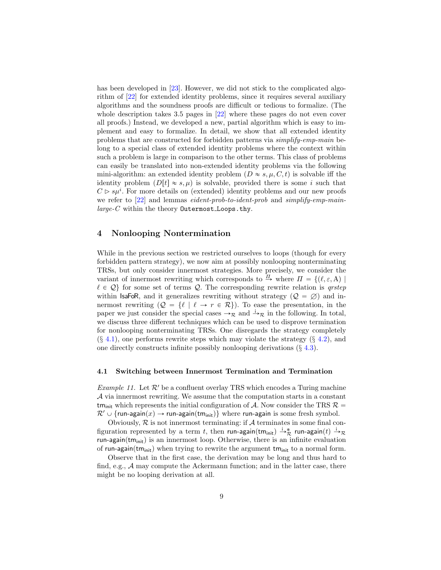has been developed in [\[23\]](#page-15-6). However, we did not stick to the complicated algorithm of [\[22\]](#page-15-14) for extended identity problems, since it requires several auxiliary algorithms and the soundness proofs are difficult or tedious to formalize. (The whole description takes 3.5 pages in  $[22]$  where these pages do not even cover all proofs.) Instead, we developed a new, partial algorithm which is easy to implement and easy to formalize. In detail, we show that all extended identity problems that are constructed for forbidden patterns via simplify-emp-main belong to a special class of extended identity problems where the context within such a problem is large in comparison to the other terms. This class of problems can easily be translated into non-extended identity problems via the following mini-algorithm: an extended identity problem  $(D \approx s, \mu, C, t)$  is solvable iff the identity problem  $(D[t] \approx s, \mu)$  is solvable, provided there is some i such that  $C \triangleright s\mu^{i}$ . For more details on (extended) identity problems and our new proofs we refer to [\[22\]](#page-15-14) and lemmas *eident-prob-to-ident-prob* and *simplify-emp-main* $large-C$  within the theory Outermost Loops.thy.

# <span id="page-8-0"></span>4 Nonlooping Nontermination

While in the previous section we restricted ourselves to loops (though for every forbidden pattern strategy), we now aim at possibly nonlooping nonterminating TRSs, but only consider innermost strategies. More precisely, we consider the variant of innermost rewriting which corresponds to  $\frac{\pi}{P}$  where  $\Pi = \{(\ell, \varepsilon, A) | \}$  $\ell \in \mathcal{Q}$  for some set of terms  $\mathcal{Q}$ . The corresponding rewrite relation is *qrstep* within **IsaFoR**, and it generalizes rewriting without strategy ( $Q = \emptyset$ ) and innermost rewriting  $(Q = \{ \ell \mid \ell \to r \in \mathcal{R} \})$ . To ease the presentation, in the paper we just consider the special cases  $\rightarrow_{\mathcal{R}}$  and  $\rightarrow_{\mathcal{R}}$  in the following. In total, we discuss three different techniques which can be used to disprove termination for nonlooping nonterminating TRSs. One disregards the strategy completely  $(\S$  [4.1\)](#page-8-1), one performs rewrite steps which may violate the strategy  $(\S$  [4.2\)](#page-10-1), and one directly constructs infinite possibly nonlooping derivations (§ [4.3\)](#page-11-0).

### <span id="page-8-1"></span>4.1 Switching between Innermost Termination and Termination

<span id="page-8-2"></span>*Example 11.* Let  $\mathcal{R}'$  be a confluent overlay TRS which encodes a Turing machine A via innermost rewriting. We assume that the computation starts in a constant tm<sub>init</sub> which represents the initial configuration of A. Now consider the TRS  $\mathcal{R} =$  $\mathcal{R}' \cup \{ \text{run-again}(x) \rightarrow \text{run-again}(\text{tm}_{\text{init}}) \}$  where run-again is some fresh symbol.

Obviously,  $R$  is not innermost terminating: if  $A$  terminates in some final configuration represented by a term t, then run-again $(\textsf{tm}_{\textsf{init}}) \xrightarrow{i}^*_{\mathcal{R}}$  run-again $(t) \xrightarrow{i}^*_{\mathcal{R}}$ run-again $(tm_{init})$  is an innermost loop. Otherwise, there is an infinite evaluation of run-again $(\mathsf{tm}_{\mathsf{init}})$  when trying to rewrite the argument  $\mathsf{tm}_{\mathsf{init}}$  to a normal form.

Observe that in the first case, the derivation may be long and thus hard to find, e.g.,  $A$  may compute the Ackermann function; and in the latter case, there might be no looping derivation at all.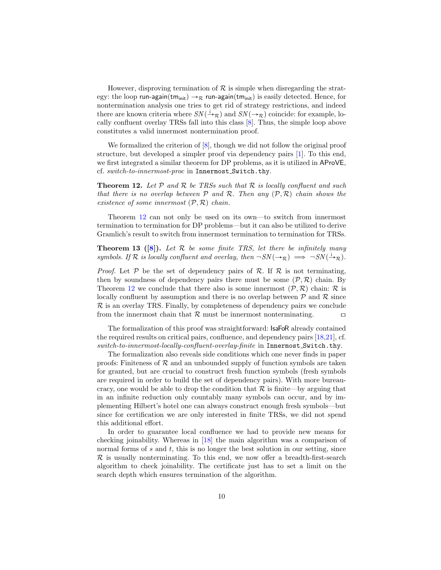However, disproving termination of  $\mathcal R$  is simple when disregarding the strategy: the loop run-again $(tm_{init}) \rightarrow \mathcal{R}$  run-again $(tm_{init})$  is easily detected. Hence, for nontermination analysis one tries to get rid of strategy restrictions, and indeed there are known criteria where  $SN(\dot{\rightarrow}_{\mathcal{R}})$  and  $SN(\rightarrow_{\mathcal{R}})$  coincide: for example, locally confluent overlay TRSs fall into this class [\[8\]](#page-15-11). Thus, the simple loop above constitutes a valid innermost nontermination proof.

We formalized the criterion of  $[8]$ , though we did not follow the original proof structure, but developed a simpler proof via dependency pairs [\[1\]](#page-14-1). To this end, we first integrated a similar theorem for DP problems, as it is utilized in AProVE, cf. switch-to-innermost-proc in Innermost Switch.thy.

<span id="page-9-0"></span>**Theorem 12.** Let  $P$  and  $R$  be TRSs such that  $R$  is locally confluent and such that there is no overlap between  $P$  and  $R$ . Then any  $(P, R)$  chain shows the existence of some innermost  $(\mathcal{P}, \mathcal{R})$  chain.

Theorem [12](#page-9-0) can not only be used on its own—to switch from innermost termination to termination for DP problems—but it can also be utilized to derive Gramlich's result to switch from innermost termination to termination for TRSs.

**Theorem 13** ([\[8\]](#page-15-11)). Let  $\mathcal{R}$  be some finite TRS, let there be infinitely many symbols. If R is locally confluent and overlay, then  $\neg SN(\rightarrow_R) \implies \neg SN(\frac{1}{R}).$ 

*Proof.* Let  $P$  be the set of dependency pairs of  $R$ . If  $R$  is not terminating, then by soundness of dependency pairs there must be some  $(\mathcal{P}, \mathcal{R})$  chain. By Theorem [12](#page-9-0) we conclude that there also is some innermost  $(\mathcal{P}, \mathcal{R})$  chain: R is locally confluent by assumption and there is no overlap between  $P$  and  $R$  since  $\mathcal R$  is an overlay TRS. Finally, by completeness of dependency pairs we conclude from the innermost chain that  $\mathcal R$  must be innermost nonterminating.  $\Box$ 

The formalization of this proof was straightforward: IsaFoR already contained the required results on critical pairs, confluence, and dependency pairs [\[18,](#page-15-19)[21\]](#page-15-4), cf. switch-to-innermost-locally-confluent-overlay-finite in Innermost\_Switch.thy.

The formalization also reveals side conditions which one never finds in paper proofs: Finiteness of  $R$  and an unbounded supply of function symbols are taken for granted, but are crucial to construct fresh function symbols (fresh symbols are required in order to build the set of dependency pairs). With more bureaucracy, one would be able to drop the condition that  $\mathcal R$  is finite—by arguing that in an infinite reduction only countably many symbols can occur, and by implementing Hilbert's hotel one can always construct enough fresh symbols—but since for certification we are only interested in finite TRSs, we did not spend this additional effort.

In order to guarantee local confluence we had to provide new means for checking joinability. Whereas in [\[18\]](#page-15-19) the main algorithm was a comparison of normal forms of  $s$  and  $t$ , this is no longer the best solution in our setting, since  $\mathcal R$  is usually nonterminating. To this end, we now offer a breadth-first-search algorithm to check joinability. The certificate just has to set a limit on the search depth which ensures termination of the algorithm.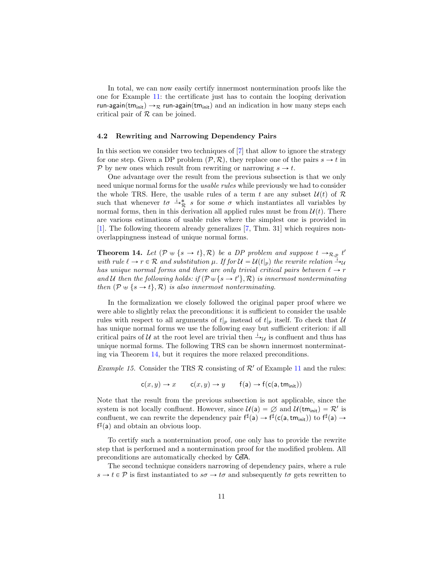In total, we can now easily certify innermost nontermination proofs like the one for Example [11:](#page-8-2) the certificate just has to contain the looping derivation run-again(tm<sub>init</sub>)  $\rightarrow$ <sub>R</sub> run-again(tm<sub>init</sub>) and an indication in how many steps each critical pair of  $R$  can be joined.

#### <span id="page-10-1"></span>4.2 Rewriting and Narrowing Dependency Pairs

In this section we consider two techniques of [\[7\]](#page-15-10) that allow to ignore the strategy for one step. Given a DP problem  $(\mathcal{P}, \mathcal{R})$ , they replace one of the pairs  $s \to t$  in P by new ones which result from rewriting or narrowing  $s \to t$ .

One advantage over the result from the previous subsection is that we only need unique normal forms for the usable rules while previously we had to consider the whole TRS. Here, the usable rules of a term t are any subset  $\mathcal{U}(t)$  of  $\mathcal{R}$ such that whenever  $t\sigma \stackrel{\cdot}{\rightarrow}^*_{\mathcal{R}} s$  for some  $\sigma$  which instantiates all variables by normal forms, then in this derivation all applied rules must be from  $\mathcal{U}(t)$ . There are various estimations of usable rules where the simplest one is provided in [\[1\]](#page-14-1). The following theorem already generalizes [\[7,](#page-15-10) Thm. 31] which requires nonoverlappingness instead of unique normal forms.

<span id="page-10-0"></span>**Theorem 14.** Let  $(P \oplus \{s \rightarrow t\}, R)$  be a DP problem and suppose  $t \rightarrow_{R,p} t'$ with rule  $\ell \to r \in \mathcal{R}$  and substitution  $\mu$ . If for  $\mathcal{U} = \mathcal{U}(t|_p)$  the rewrite relation  $\rightarrow_{\mathcal{U}}$ has unique normal forms and there are only trivial critical pairs between  $\ell \rightarrow r$ and U then the following holds: if  $(\mathcal{P} \oplus \{s \rightarrow t'\}, \mathcal{R})$  is innermost nonterminating then  $(\mathcal{P} \oplus \{s \rightarrow t\}, \mathcal{R})$  is also innermost nonterminating.

In the formalization we closely followed the original paper proof where we were able to slightly relax the preconditions: it is sufficient to consider the usable rules with respect to all arguments of  $t|_p$  instead of  $t|_p$  itself. To check that U has unique normal forms we use the following easy but sufficient criterion: if all critical pairs of U at the root level are trivial then  $\frac{1}{y}$  is confluent and thus has unique normal forms. The following TRS can be shown innermost nonterminating via Theorem [14,](#page-10-0) but it requires the more relaxed preconditions.

*Example 15.* Consider the TRS  $\mathcal R$  consisting of  $\mathcal R'$  of Example [11](#page-8-2) and the rules:

$$
c(x, y) \to x \qquad c(x, y) \to y \qquad f(a) \to f(c(a, tminit))
$$

Note that the result from the previous subsection is not applicable, since the system is not locally confluent. However, since  $\mathcal{U}(\mathsf{a}) = \emptyset$  and  $\mathcal{U}(\mathsf{tm}_{\mathsf{init}}) = \mathcal{R}'$  is confluent, we can rewrite the dependency pair  $f^{\sharp}(a) \to f^{\sharp}(c(a,tm_{init}))$  to  $f^{\sharp}(a) \to$  $f^{\sharp}(a)$  and obtain an obvious loop.

To certify such a nontermination proof, one only has to provide the rewrite step that is performed and a nontermination proof for the modified problem. All preconditions are automatically checked by CeTA.

The second technique considers narrowing of dependency pairs, where a rule  $s \to t \in \mathcal{P}$  is first instantiated to  $s\sigma \to t\sigma$  and subsequently  $t\sigma$  gets rewritten to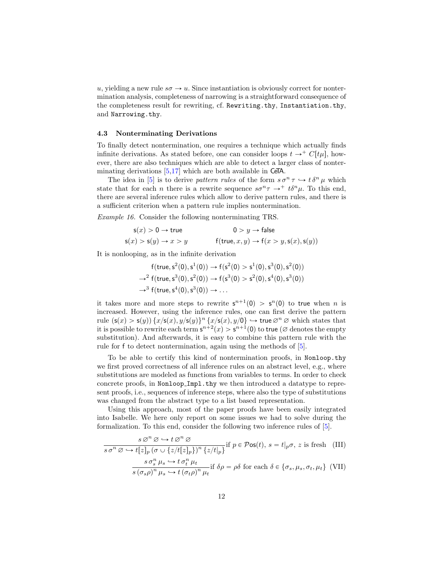u, yielding a new rule  $s\sigma \rightarrow u$ . Since instantiation is obviously correct for nontermination analysis, completeness of narrowing is a straightforward consequence of the completeness result for rewriting, cf. Rewriting.thy, Instantiation.thy, and Narrowing.thy.

### <span id="page-11-0"></span>4.3 Nonterminating Derivations

To finally detect nontermination, one requires a technique which actually finds infinite derivations. As stated before, one can consider loops  $t \to^+ C[t\mu]$ , however, there are also techniques which are able to detect a larger class of nonterminating derivations  $[5,17]$  $[5,17]$  which are both available in CeTA.

The idea in [\[5\]](#page-15-12) is to derive pattern rules of the form  $s\sigma^n \tau \hookrightarrow t\delta^n \mu$  which state that for each *n* there is a rewrite sequence  $s\sigma^n\tau \rightarrow^+ t\delta^n\mu$ . To this end, there are several inference rules which allow to derive pattern rules, and there is a sufficient criterion when a pattern rule implies nontermination.

Example 16. Consider the following nonterminating TRS.

$$
\begin{aligned} \mathsf{s}(x) &> 0 \to \mathsf{true} \\ \mathsf{s}(x) &> \mathsf{s}(y) \to x &> y \end{aligned} \qquad \begin{aligned} 0 &> y \to \mathsf{false} \\ \mathsf{f}(\mathsf{true}, x, y) &> \mathsf{f}(x &> y, \mathsf{s}(x), \mathsf{s}(y)) \end{aligned}
$$

It is nonlooping, as in the infinite derivation

<span id="page-11-1"></span>
$$
f(true, s2(0), s1(0)) → f(s2(0) > s1(0), s3(0), s2(0))
$$
  
\n→<sup>2</sup> f(true, s<sup>3</sup>(0), s<sup>2</sup>(0)) → f(s<sup>3</sup>(0) > s<sup>2</sup>(0), s<sup>4</sup>(0), s<sup>3</sup>(0))  
\n→<sup>3</sup> f(true, s<sup>4</sup>(0), s<sup>3</sup>(0)) → ...

it takes more and more steps to rewrite  $s^{n+1}(0) > s^n(0)$  to true when n is increased. However, using the inference rules, one can first derive the pattern rule  $(\mathsf{s}(x) > \mathsf{s}(y)) \{x/\mathsf{s}(x), y/\mathsf{s}(y)\}^n \{x/\mathsf{s}(x), y/\mathsf{0}\} \hookrightarrow \mathsf{true} \oslash^n \oslash \mathsf{which~states~that}$ it is possible to rewrite each term  $\mathsf{s}^{n+2}(x) > \mathsf{s}^{n+1}(0)$  to true ( $\varnothing$  denotes the empty substitution). And afterwards, it is easy to combine this pattern rule with the rule for f to detect nontermination, again using the methods of [\[5\]](#page-15-12).

To be able to certify this kind of nontermination proofs, in Nonloop.thy we first proved correctness of all inference rules on an abstract level, e.g., where substitutions are modeled as functions from variables to terms. In order to check concrete proofs, in Nonloop Impl.thy we then introduced a datatype to represent proofs, i.e., sequences of inference steps, where also the type of substitutions was changed from the abstract type to a list based representation.

Using this approach, most of the paper proofs have been easily integrated into Isabelle. We here only report on some issues we had to solve during the formalization. To this end, consider the following two inference rules of [\[5\]](#page-15-12).

$$
\frac{s \oslash^n \oslash \hookrightarrow t \oslash^n \oslash}{s \sigma^n \oslash \hookrightarrow t[z]_p (\sigma \cup \{z/t[z]_p\})^n \{z/t|_p\}} \text{if } p \in \mathcal{P} \text{os}(t), s = t|_p \sigma, z \text{ is fresh (III)}
$$
\n
$$
\frac{s \sigma_s^n \mu_s \hookrightarrow t \sigma_t^n \mu_t}{s (\sigma_s \rho)^n \mu_s \hookrightarrow t (\sigma_t \rho)^n \mu_t} \text{if } \delta \rho = \rho \delta \text{ for each } \delta \in \{\sigma_s, \mu_s, \sigma_t, \mu_t\} \text{ (VII)}
$$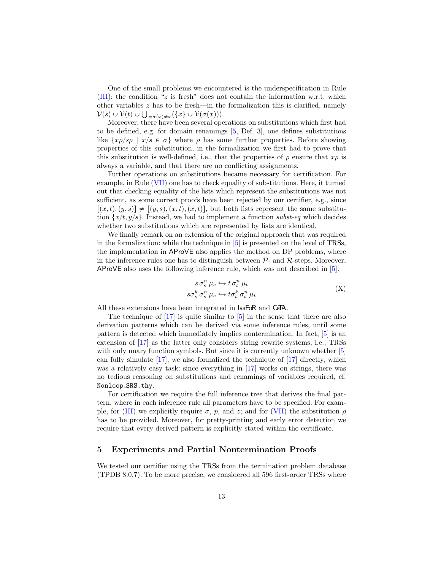One of the small problems we encountered is the underspecification in Rule [\(III\)](#page-11-1): the condition "z is fresh" does not contain the information w.r.t. which other variables z has to be fresh—in the formalization this is clarified, namely  $\mathcal{V}(s) \cup \mathcal{V}(t) \cup \bigcup_{x: \sigma(x) \neq x} (\{x\} \cup \mathcal{V}(\sigma(x))).$ 

Moreover, there have been several operations on substitutions which first had to be defined, e.g. for domain renamings [\[5,](#page-15-12) Def. 3], one defines substitutions like  $\{x\rho/s\rho \mid x/s \in \sigma\}$  where  $\rho$  has some further properties. Before showing properties of this substitution, in the formalization we first had to prove that this substitution is well-defined, i.e., that the properties of  $\rho$  ensure that  $x\rho$  is always a variable, and that there are no conflicting assignments.

Further operations on substitutions became necessary for certification. For example, in Rule [\(VII\)](#page-11-1) one has to check equality of substitutions. Here, it turned out that checking equality of the lists which represent the substitutions was not sufficient, as some correct proofs have been rejected by our certifier, e.g., since  $[(x, t), (y, s)] \neq [(y, s), (x, t), (x, t)]$ , but both lists represent the same substitution  $\{x/t, y/s\}$ . Instead, we had to implement a function subst-eq which decides whether two substitutions which are represented by lists are identical.

We finally remark on an extension of the original approach that was required in the formalization: while the technique in [\[5\]](#page-15-12) is presented on the level of TRSs, the implementation in AProVE also applies the method on DP problems, where in the inference rules one has to distinguish between  $P$ - and  $R$ -steps. Moreover, AProVE also uses the following inference rule, which was not described in [\[5\]](#page-15-12).

$$
\frac{s \sigma_s^n \mu_s \hookrightarrow t \sigma_t^n \mu_t}{s \sigma_s^k \sigma_s^n \mu_s \hookrightarrow t \sigma_t^k \sigma_t^n \mu_t}
$$
\n(X)

All these extensions have been integrated in IsaFoR and CeTA.

The technique of  $\left[17\right]$  is quite similar to  $\left[5\right]$  in the sense that there are also derivation patterns which can be derived via some inference rules, until some pattern is detected which immediately implies nontermination. In fact, [\[5\]](#page-15-12) is an extension of [\[17\]](#page-15-20) as the latter only considers string rewrite systems, i.e., TRSs with only unary function symbols. But since it is currently unknown whether [\[5\]](#page-15-12) can fully simulate [\[17\]](#page-15-20), we also formalized the technique of [\[17\]](#page-15-20) directly, which was a relatively easy task: since everything in [\[17\]](#page-15-20) works on strings, there was no tedious reasoning on substitutions and renamings of variables required, cf. Nonloop SRS.thy.

For certification we require the full inference tree that derives the final pattern, where in each inference rule all parameters have to be specified. For exam-ple, for [\(III\)](#page-11-1) we explicitly require  $\sigma$ , p, and z; and for [\(VII\)](#page-11-1) the substitution  $\rho$ has to be provided. Moreover, for pretty-printing and early error detection we require that every derived pattern is explicitly stated within the certificate.

# <span id="page-12-0"></span>5 Experiments and Partial Nontermination Proofs

We tested our certifier using the TRSs from the termination problem database (TPDB 8.0.7). To be more precise, we considered all 596 first-order TRSs where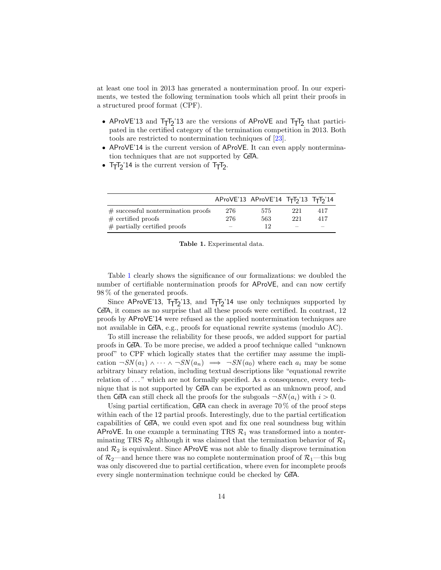at least one tool in 2013 has generated a nontermination proof. In our experiments, we tested the following termination tools which all print their proofs in a structured proof format (CPF).

- AProVE'13 and T<sub>T</sub>T<sub>2</sub>'13 are the versions of AProVE and T<sub>T</sub>T<sub>2</sub> that participated in the certified category of the termination competition in 2013. Both tools are restricted to nontermination techniques of [\[23\]](#page-15-6).
- ' AProVE'14 is the current version of AProVE. It can even apply nontermination techniques that are not supported by CeTA.
- $T_T T_2' 14$  is the current version of  $T_T T_2$ .

|                                       |                          | AProVE'13 AProVE'14 $T_TT_2$ '13 $T_TT_2$ '14 |     |                          |
|---------------------------------------|--------------------------|-----------------------------------------------|-----|--------------------------|
| $\#$ successful nontermination proofs | 276                      | 575                                           | 221 | 417                      |
| $\#$ certified proofs                 | 276                      | 563                                           | 221 | 417                      |
| $\#$ partially certified proofs       | $\overline{\phantom{0}}$ | 19                                            |     | $\overline{\phantom{a}}$ |

<span id="page-13-0"></span>

| Table 1. Experimental data. |  |
|-----------------------------|--|
|-----------------------------|--|

Table [1](#page-13-0) clearly shows the significance of our formalizations: we doubled the number of certifiable nontermination proofs for AProVE, and can now certify 98 % of the generated proofs.

Since AProVE'13, T<sub>T</sub>T<sub>2</sub>'13, and T<sub>T</sub>T<sub>2</sub>'14 use only techniques supported by CeTA, it comes as no surprise that all these proofs were certified. In contrast, 12 proofs by AProVE'14 were refused as the applied nontermination techniques are not available in CeTA, e.g., proofs for equational rewrite systems (modulo AC).

To still increase the reliability for these proofs, we added support for partial proofs in CeTA. To be more precise, we added a proof technique called "unknown proof" to CPF which logically states that the certifier may assume the implication  $\neg SN(a_1) \wedge \cdots \wedge \neg SN(a_n) \implies \neg SN(a_0)$  where each  $a_i$  may be some arbitrary binary relation, including textual descriptions like "equational rewrite relation of ..." which are not formally specified. As a consequence, every technique that is not supported by CeTA can be exported as an unknown proof, and then CeTA can still check all the proofs for the subgoals  $-SN(a_i)$  with  $i > 0$ .

Using partial certification, CeTA can check in average  $70\%$  of the proof steps within each of the 12 partial proofs. Interestingly, due to the partial certification capabilities of CeTA, we could even spot and fix one real soundness bug within AProVE. In one example a terminating TRS  $\mathcal{R}_1$  was transformed into a nonterminating TRS  $\mathcal{R}_2$  although it was claimed that the termination behavior of  $\mathcal{R}_1$ and  $\mathcal{R}_2$  is equivalent. Since AProVE was not able to finally disprove termination of  $\mathcal{R}_2$ —and hence there was no complete nontermination proof of  $\mathcal{R}_1$ —this bug was only discovered due to partial certification, where even for incomplete proofs every single nontermination technique could be checked by CeTA.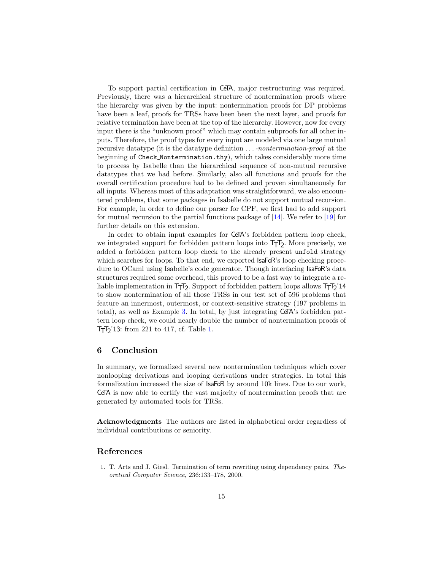To support partial certification in CeTA, major restructuring was required. Previously, there was a hierarchical structure of nontermination proofs where the hierarchy was given by the input: nontermination proofs for DP problems have been a leaf, proofs for TRSs have been been the next layer, and proofs for relative termination have been at the top of the hierarchy. However, now for every input there is the "unknown proof" which may contain subproofs for all other inputs. Therefore, the proof types for every input are modeled via one large mutual recursive datatype (it is the datatype definition . . . -nontermination-proof at the beginning of Check Nontermination.thy), which takes considerably more time to process by Isabelle than the hierarchical sequence of non-mutual recursive datatypes that we had before. Similarly, also all functions and proofs for the overall certification procedure had to be defined and proven simultaneously for all inputs. Whereas most of this adaptation was straightforward, we also encountered problems, that some packages in Isabelle do not support mutual recursion. For example, in order to define our parser for CPF, we first had to add support for mutual recursion to the partial functions package of [\[14\]](#page-15-21). We refer to [\[19\]](#page-15-22) for further details on this extension.

In order to obtain input examples for **CeTA**'s forbidden pattern loop check, we integrated support for forbidden pattern loops into  $T_T$ , More precisely, we added a forbidden pattern loop check to the already present unfold strategy which searches for loops. To that end, we exported **IsaFoR**'s loop checking procedure to OCaml using Isabelle's code generator. Though interfacing IsaFoR's data structures required some overhead, this proved to be a fast way to integrate a reliable implementation in  $T_TT_2$ . Support of forbidden pattern loops allows  $T_TT_2'14$ to show nontermination of all those TRSs in our test set of 596 problems that feature an innermost, outermost, or context-sensitive strategy (197 problems in total), as well as Example [3.](#page-3-0) In total, by just integrating CeTA's forbidden pattern loop check, we could nearly double the number of nontermination proofs of TTT2 '13: from 221 to 417, cf. Table [1.](#page-13-0)

# <span id="page-14-0"></span>6 Conclusion

In summary, we formalized several new nontermination techniques which cover nonlooping derivations and looping derivations under strategies. In total this formalization increased the size of IsaFoR by around 10k lines. Due to our work, CeTA is now able to certify the vast majority of nontermination proofs that are generated by automated tools for TRSs.

Acknowledgments The authors are listed in alphabetical order regardless of individual contributions or seniority.

# References

<span id="page-14-1"></span>1. T. Arts and J. Giesl. Termination of term rewriting using dependency pairs. Theoretical Computer Science, 236:133–178, 2000.